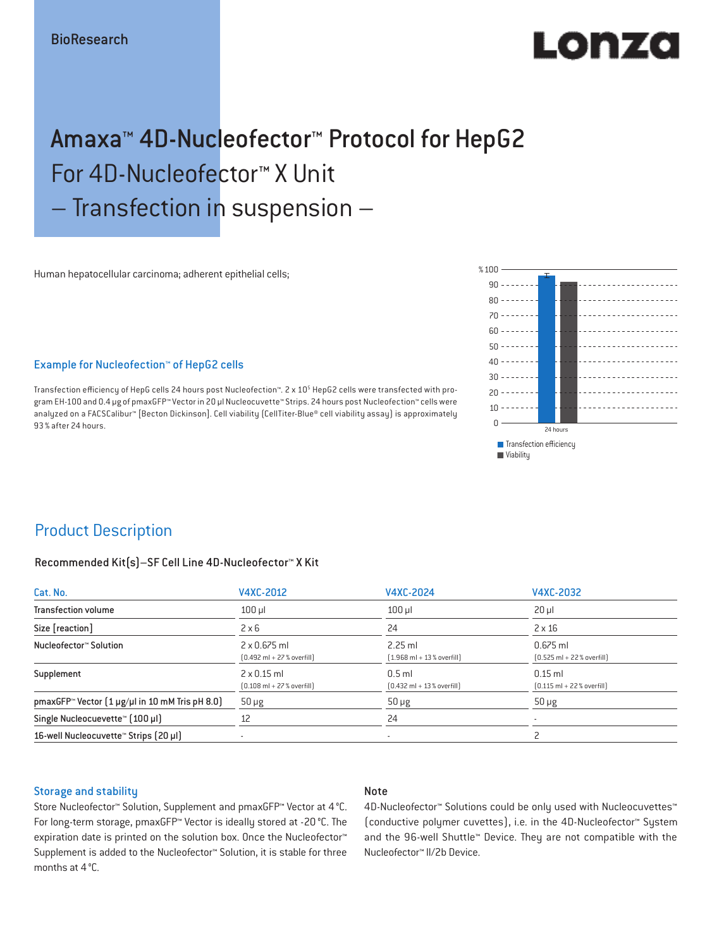# EO DE 40

## Amaxa™ 4D-Nucleofector™ Protocol for HepG2 For 4D-Nucleofector™ X Unit – Transfection in suspension –

Human hepatocellular carcinoma; adherent epithelial cells;

### Example for Nucleofection™ of HepG2 cells

Transfection efficiency of HepG cells 24 hours post Nucleofection™. 2 x 10<sup>5</sup> HepG2 cells were transfected with program EH-100 and 0.4 μg of pmaxGFP™ Vector in 20 µl Nucleocuvette™ Strips. 24 hours post Nucleofection™ cells were analyzed on a FACSCalibur™ [Becton Dickinson]. Cell viability (CellTiter-Blue® cell viability assay) is approximately 93% after 24 hours.



### Product Description

### Recommended Kit(s)–SF Cell Line 4D-Nucleofector™ X Kit

| Cat. No.                                                          | V4XC-2012                                                           | V4XC-2024                                                | V4XC-2032                                                  |  |
|-------------------------------------------------------------------|---------------------------------------------------------------------|----------------------------------------------------------|------------------------------------------------------------|--|
| <b>Transfection volume</b>                                        | $100$ $\mu$                                                         | $100$ $\mu$                                              | $20 \mu$                                                   |  |
| Size [reaction]                                                   | $2 \times 6$                                                        | 24                                                       | $2 \times 16$                                              |  |
| Nucleofector™ Solution                                            | $2 \times 0.675$ ml<br>$[0.492 \text{ ml} + 27 \text{ %} overfill]$ | $2.25$ ml<br>$(1.968 \text{ ml} + 13 % \text{overfill})$ | $0.675$ ml<br>$[0.525 \text{ ml} + 22 \text{ % overfill}]$ |  |
| Supplement                                                        | $2 \times 0.15$ ml<br>$[0.108 \text{ ml} + 27 \text{ %} overfill]$  | $0.5$ ml<br>$[0.432 \text{ ml} + 13 \text{ %} overfill]$ | $0.15$ ml<br>$[0.115 \text{ ml} + 22 \text{ % overfill}]$  |  |
| pmaxGFP <sup>*</sup> Vector $(1 \mu g/\mu)$ in 10 mM Tris pH 8.0) | $50 \mu g$                                                          | $50 \mu g$                                               | $50 \mu g$                                                 |  |
| Single Nucleocuevette™ [100 µl]                                   | 12                                                                  | 24                                                       |                                                            |  |
| 16-well Nucleocuvette <sup>™</sup> Strips [20 µl]                 | $\overline{\phantom{a}}$                                            | $\sim$                                                   |                                                            |  |

#### Storage and stability

### Note

Store Nucleofector™ Solution, Supplement and pmaxGFP™ Vector at 4°C. For long-term storage, pmaxGFP™ Vector is ideally stored at -20 °C. The expiration date is printed on the solution box. Once the Nucleofector™ Supplement is added to the Nucleofector™ Solution, it is stable for three months at 4°C.

4D-Nucleofector™ Solutions could be only used with Nucleocuvettes™ (conductive polymer cuvettes), i.e. in the 4D-Nucleofector™ System and the 96-well Shuttle™ Device. They are not compatible with the Nucleofector™ II/2b Device.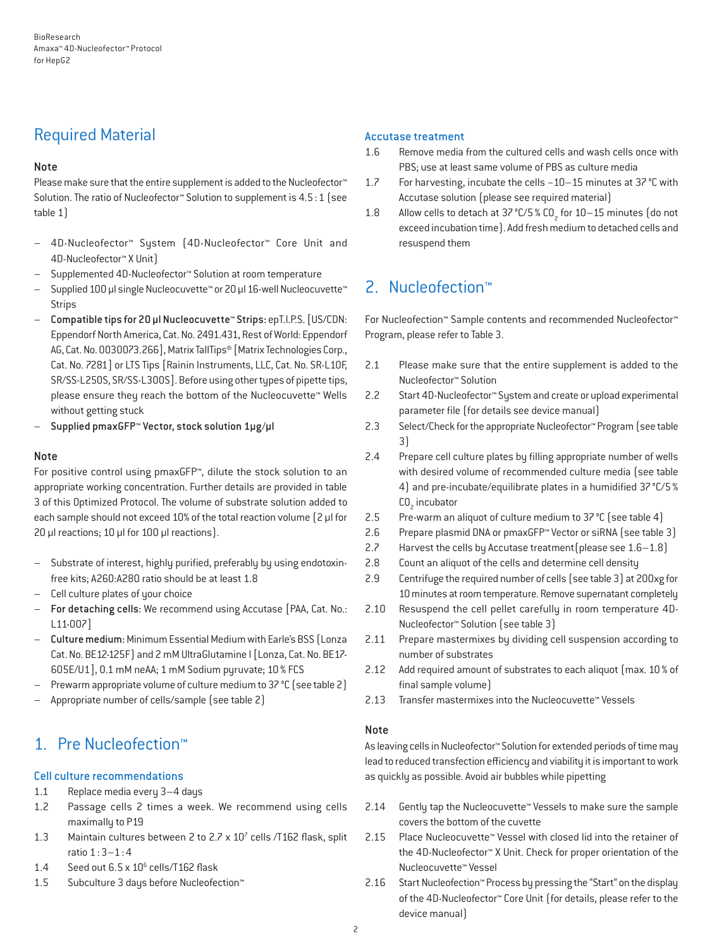### Required Material

### Note

Please make sure that the entire supplement is added to the Nucleofector<sup>™</sup> Solution. The ratio of Nucleofector™ Solution to supplement is 4.5:1 (see table 1)

- 4D-Nucleofector™ System (4D-Nucleofector™ Core Unit and 4D-Nucleofector™ X Unit)
- Supplemented 4D-Nucleofector™ Solution at room temperature
- Supplied 100 µl single Nucleocuvette™ or 20 µl 16-well Nucleocuvette™ Strips
- Compatible tips for 20 µl Nucleocuvette™ Strips: epT.I.P.S. [US/CDN: Eppendorf North America, Cat. No. 2491.431, Rest of World: Eppendorf AG, Cat. No. 0030073.266], Matrix TallTips® [Matrix Technologies Corp., Cat. No. 7281] or LTS Tips [Rainin Instruments, LLC, Cat. No. SR-L10F, SR/SS-L250S, SR/SS-L300S]. Before using other types of pipette tips, please ensure they reach the bottom of the Nucleocuvette™ Wells without getting stuck
- Supplied pmaxGFP™ Vector, stock solution 1µg/µl

### Note

For positive control using pmaxGFP™, dilute the stock solution to an appropriate working concentration. Further details are provided in table 3 of this Optimized Protocol. The volume of substrate solution added to each sample should not exceed 10% of the total reaction volume [2 µl for 20 µl reactions; 10 µl for 100 µl reactions).

- Substrate of interest, highly purified, preferably by using endotoxinfree kits; A260:A280 ratio should be at least 1.8
- Cell culture plates of your choice
- For detaching cells: We recommend using Accutase [PAA, Cat. No.: L11-007]
- Culture medium: Minimum Essential Medium with Earle's BSS (Lonza Cat. No. BE12-125F) and 2 mM UltraGlutamine I [Lonza, Cat. No. BE17-605E/U1], 0.1 mM neAA; 1 mM Sodium pyruvate; 10% FCS
- Prewarm appropriate volume of culture medium to 37 °C (see table 2)
- Appropriate number of cells/sample (see table 2)

### 1. Pre Nucleofection™

### Cell culture recommendations

- 1.1 Replace media every 3–4 days
- 1.2 Passage cells 2 times a week. We recommend using cells maximally to P19
- 1.3 Maintain cultures between 2 to 2.7 x  $10^7$  cells /T162 flask, split ratio 1:3–1:4
- 1.4 Seed out  $6.5 \times 10^6$  cells/T162 flask
- 1.5 Subculture 3 days before Nucleofection™

### Accutase treatment

- 1.6 Remove media from the cultured cells and wash cells once with PBS; use at least same volume of PBS as culture media
- 1.7 For harvesting, incubate the cells ~10–15 minutes at 37°C with Accutase solution (please see required material)
- 1.8 Allow cells to detach at 37 °C/5 % CO<sub>2</sub> for 10–15 minutes (do not exceed incubation time). Add fresh medium to detached cells and resuspend them

### 2. Nucleofection™

For Nucleofection™ Sample contents and recommended Nucleofector™ Program, please refer to Table 3.

- 2.1 Please make sure that the entire supplement is added to the Nucleofector™ Solution
- 2.2 Start 4D-Nucleofector™ System and create or upload experimental parameter file (for details see device manual)
- 2.3 Select/Check for the appropriate Nucleofector™ Program (see table 3)
- 2.4 Prepare cell culture plates by filling appropriate number of wells with desired volume of recommended culture media (see table 4) and pre-incubate/equilibrate plates in a humidified 37°C/5%  $CO<sub>2</sub>$  incubator
- 2.5 Pre-warm an aliquot of culture medium to 37°C (see table 4)
- 2.6 Prepare plasmid DNA or pmaxGFP™ Vector or siRNA (see table 3)
- 2.7 Harvest the cells by Accutase treatment(please see 1.6–1.8)
- 2.8 Count an aliquot of the cells and determine cell density
- 2.9 Centrifuge the required number of cells (see table 3) at 200xg for 10 minutes at room temperature. Remove supernatant completely
- 2.10 Resuspend the cell pellet carefully in room temperature 4D-Nucleofector™ Solution (see table 3)
- 2.11 Prepare mastermixes by dividing cell suspension according to number of substrates
- 2.12 Add required amount of substrates to each aliquot (max. 10 % of final sample volume)
- 2.13 Transfer mastermixes into the Nucleocuvette™ Vessels

### **Note**

As leaving cells in Nucleofector™ Solution for extended periods of time may lead to reduced transfection efficiency and viability it is important to work as quickly as possible. Avoid air bubbles while pipetting

- 2.14 Gently tap the Nucleocuvette™ Vessels to make sure the sample covers the bottom of the cuvette
- 2.15 Place Nucleocuvette™ Vessel with closed lid into the retainer of the 4D-Nucleofector™ X Unit. Check for proper orientation of the Nucleocuvette™ Vessel
- 2.16 Start Nucleofection™ Process by pressing the "Start" on the display of the 4D-Nucleofector™ Core Unit (for details, please refer to the device manual)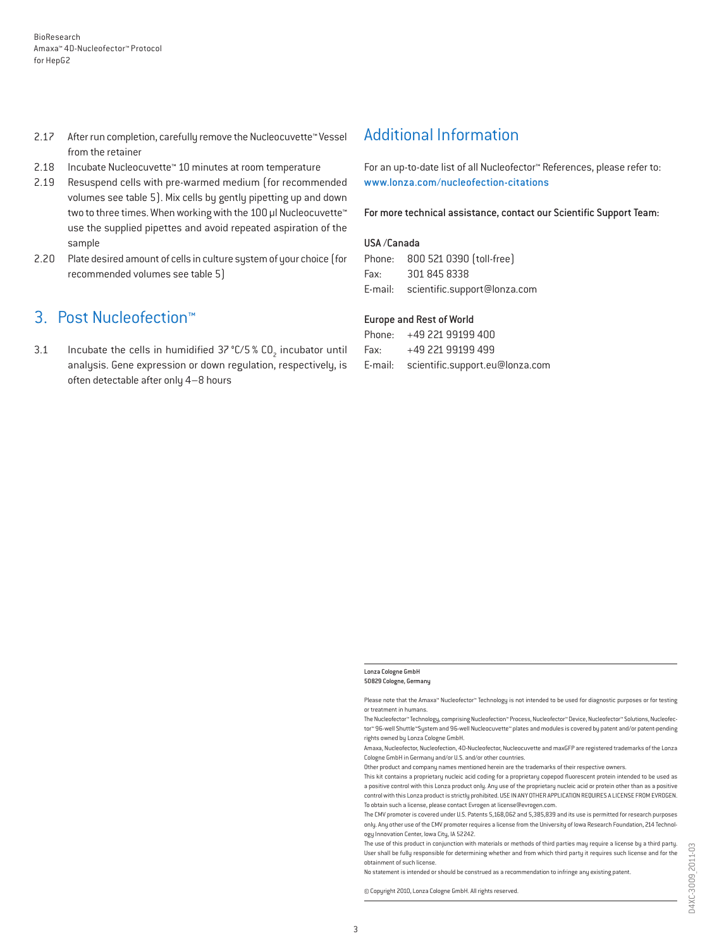- 2.17 After run completion, carefully remove the Nucleocuvette™ Vessel from the retainer
- 2.18 Incubate Nucleocuvette™ 10 minutes at room temperature
- 2.19 Resuspend cells with pre-warmed medium (for recommended volumes see table 5). Mix cells by gently pipetting up and down two to three times. When working with the 100 µl Nucleocuvette™ use the supplied pipettes and avoid repeated aspiration of the sample
- 2.20 Plate desired amount of cells in culture system of your choice (for recommended volumes see table 5)

### 3. Post Nucleofection™

3.1 Incubate the cells in humidified  $37^{\circ}$ C/5 % CO<sub>2</sub> incubator until analysis. Gene expression or down regulation, respectively, is often detectable after only 4–8 hours

### Additional Information

For an up-to-date list of all Nucleofector™ References, please refer to: www.lonza.com/nucleofection-citations

For more technical assistance, contact our Scientific Support Team:

#### USA /Canada

|      | Phone: 800 521 0390 [toll-free]      |
|------|--------------------------------------|
| Fax: | 301 845 8338                         |
|      | E-mail: scientific.support@lonza.com |

#### Europe and Rest of World

|          | Phone: +49 221 99199 400                |
|----------|-----------------------------------------|
| Fax: Fax | +49 221 99199 499                       |
|          | E-mail: scientific.support.eu@lonza.com |

#### Lonza Cologne GmbH 50829 Cologne, Germany

Please note that the Amaxa™ Nucleofector™ Technology is not intended to be used for diagnostic purposes or for testing or treatment in humans.

The Nucleofector™ Technology, comprising Nucleofection™ Process, Nucleofector™ Device, Nucleofector™ Solutions, Nucleofector™ 96-well Shuttle™System and 96-well Nucleocuvette™ plates and modules is covered by patent and/or patent-pending rights owned by Lonza Cologne GmbH.

Other product and company names mentioned herein are the trademarks of their respective owners.

This kit contains a proprietary nucleic acid coding for a proprietary copepod fluorescent protein intended to be used as a positive control with this Lonza product only. Any use of the proprietary nucleic acid or protein other than as a positive control with this Lonza product is strictly prohibited. USE IN ANY OTHER APPLICATION REQUIRES A LICENSE FROM EVROGEN. To obtain such a license, please contact Evrogen at license@evrogen.com.

The CMV promoter is covered under U.S. Patents 5,168,062 and 5,385,839 and its use is permitted for research purposes only. Any other use of the CMV promoter requires a license from the University of Iowa Research Foundation, 214 Technology Innovation Center, Iowa City, IA 52242.

The use of this product in conjunction with materials or methods of third parties may require a license by a third party. User shall be fully responsible for determining whether and from which third party it requires such license and for the obtainment of such license.

No statement is intended or should be construed as a recommendation to infringe any existing patent.

© Copyright 2010, Lonza Cologne GmbH. All rights reserved.

Amaxa, Nucleofector, Nucleofection, 4D-Nucleofector, Nucleocuvette and maxGFP are registered trademarks of the Lonza Cologne GmbH in Germany and/or U.S. and/or other countries.